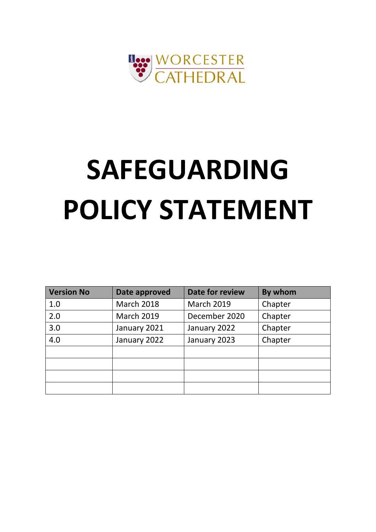

# **SAFEGUARDING POLICY STATEMENT**

| <b>Version No</b> | Date approved     | Date for review   | By whom |
|-------------------|-------------------|-------------------|---------|
| 1.0               | <b>March 2018</b> | <b>March 2019</b> | Chapter |
| 2.0               | <b>March 2019</b> | December 2020     | Chapter |
| 3.0               | January 2021      | January 2022      | Chapter |
| 4.0               | January 2022      | January 2023      | Chapter |
|                   |                   |                   |         |
|                   |                   |                   |         |
|                   |                   |                   |         |
|                   |                   |                   |         |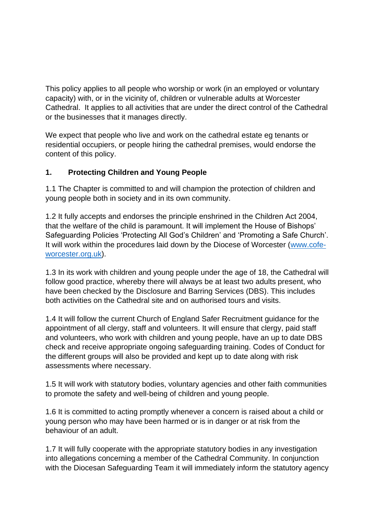This policy applies to all people who worship or work (in an employed or voluntary capacity) with, or in the vicinity of, children or vulnerable adults at Worcester Cathedral. It applies to all activities that are under the direct control of the Cathedral or the businesses that it manages directly.

We expect that people who live and work on the cathedral estate eg tenants or residential occupiers, or people hiring the cathedral premises, would endorse the content of this policy.

## **1. Protecting Children and Young People**

1.1 The Chapter is committed to and will champion the protection of children and young people both in society and in its own community.

1.2 It fully accepts and endorses the principle enshrined in the Children Act 2004, that the welfare of the child is paramount. It will implement the House of Bishops' Safeguarding Policies 'Protecting All God's Children' and 'Promoting a Safe Church'. It will work within the procedures laid down by the Diocese of Worcester [\(www.cofe](http://www.cofe-worcester.org.uk/)[worcester.org.uk\)](http://www.cofe-worcester.org.uk/).

1.3 In its work with children and young people under the age of 18, the Cathedral will follow good practice, whereby there will always be at least two adults present, who have been checked by the Disclosure and Barring Services (DBS). This includes both activities on the Cathedral site and on authorised tours and visits.

1.4 It will follow the current Church of England Safer Recruitment guidance for the appointment of all clergy, staff and volunteers. It will ensure that clergy, paid staff and volunteers, who work with children and young people, have an up to date DBS check and receive appropriate ongoing safeguarding training. Codes of Conduct for the different groups will also be provided and kept up to date along with risk assessments where necessary.

1.5 It will work with statutory bodies, voluntary agencies and other faith communities to promote the safety and well-being of children and young people.

1.6 It is committed to acting promptly whenever a concern is raised about a child or young person who may have been harmed or is in danger or at risk from the behaviour of an adult.

1.7 It will fully cooperate with the appropriate statutory bodies in any investigation into allegations concerning a member of the Cathedral Community. In conjunction with the Diocesan Safeguarding Team it will immediately inform the statutory agency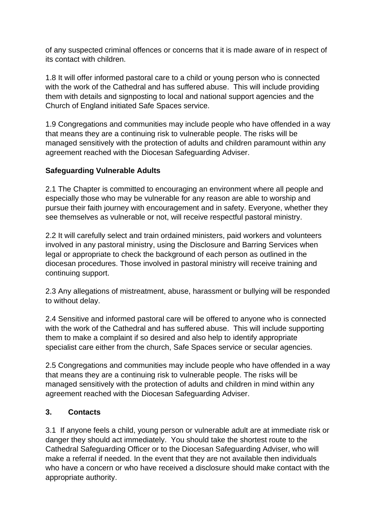of any suspected criminal offences or concerns that it is made aware of in respect of its contact with children.

1.8 It will offer informed pastoral care to a child or young person who is connected with the work of the Cathedral and has suffered abuse. This will include providing them with details and signposting to local and national support agencies and the Church of England initiated Safe Spaces service.

1.9 Congregations and communities may include people who have offended in a way that means they are a continuing risk to vulnerable people. The risks will be managed sensitively with the protection of adults and children paramount within any agreement reached with the Diocesan Safeguarding Adviser.

## **Safeguarding Vulnerable Adults**

2.1 The Chapter is committed to encouraging an environment where all people and especially those who may be vulnerable for any reason are able to worship and pursue their faith journey with encouragement and in safety. Everyone, whether they see themselves as vulnerable or not, will receive respectful pastoral ministry.

2.2 It will carefully select and train ordained ministers, paid workers and volunteers involved in any pastoral ministry, using the Disclosure and Barring Services when legal or appropriate to check the background of each person as outlined in the diocesan procedures. Those involved in pastoral ministry will receive training and continuing support.

2.3 Any allegations of mistreatment, abuse, harassment or bullying will be responded to without delay.

2.4 Sensitive and informed pastoral care will be offered to anyone who is connected with the work of the Cathedral and has suffered abuse. This will include supporting them to make a complaint if so desired and also help to identify appropriate specialist care either from the church, Safe Spaces service or secular agencies.

2.5 Congregations and communities may include people who have offended in a way that means they are a continuing risk to vulnerable people. The risks will be managed sensitively with the protection of adults and children in mind within any agreement reached with the Diocesan Safeguarding Adviser.

#### **3. Contacts**

3.1If anyone feels a child, young person or vulnerable adult are at immediate risk or danger they should act immediately. You should take the shortest route to the Cathedral Safeguarding Officer or to the Diocesan Safeguarding Adviser, who will make a referral if needed. In the event that they are not available then individuals who have a concern or who have received a disclosure should make contact with the appropriate authority.